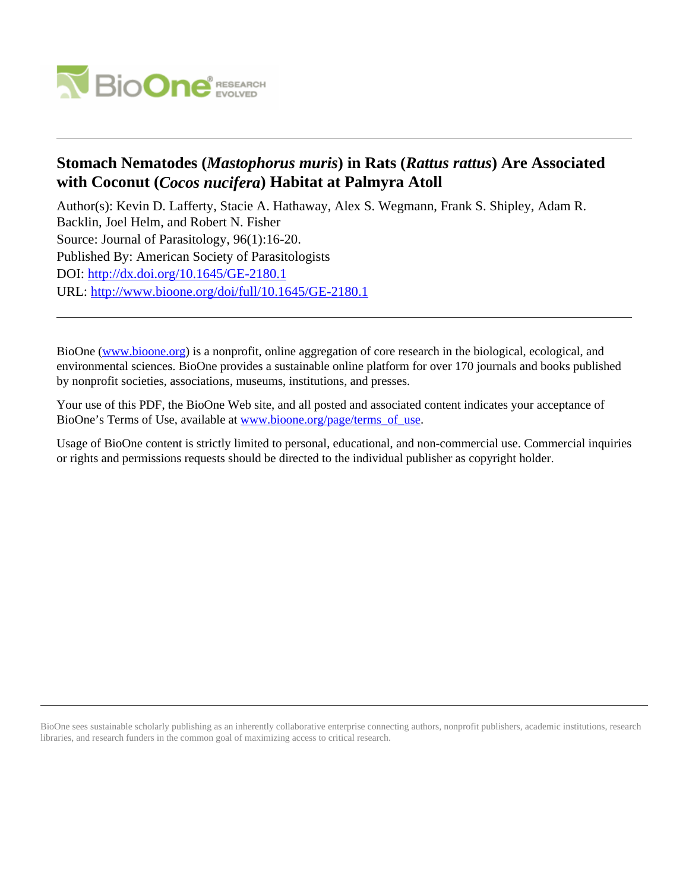

# **Stomach Nematodes (***Mastophorus muris***) in Rats (***Rattus rattus***) Are Associated with Coconut (***Cocos nucifera***) Habitat at Palmyra Atoll**

Author(s): Kevin D. Lafferty, Stacie A. Hathaway, Alex S. Wegmann, Frank S. Shipley, Adam R. Backlin, Joel Helm, and Robert N. Fisher Source: Journal of Parasitology, 96(1):16-20. Published By: American Society of Parasitologists DOI:<http://dx.doi.org/10.1645/GE-2180.1> URL: <http://www.bioone.org/doi/full/10.1645/GE-2180.1>

BioOne [\(www.bioone.org\)](http://www.bioone.org) is a nonprofit, online aggregation of core research in the biological, ecological, and environmental sciences. BioOne provides a sustainable online platform for over 170 journals and books published by nonprofit societies, associations, museums, institutions, and presses.

Your use of this PDF, the BioOne Web site, and all posted and associated content indicates your acceptance of BioOne's Terms of Use, available at [www.bioone.org/page/terms\\_of\\_use.](http://www.bioone.org/page/terms_of_use)

Usage of BioOne content is strictly limited to personal, educational, and non-commercial use. Commercial inquiries or rights and permissions requests should be directed to the individual publisher as copyright holder.

BioOne sees sustainable scholarly publishing as an inherently collaborative enterprise connecting authors, nonprofit publishers, academic institutions, research libraries, and research funders in the common goal of maximizing access to critical research.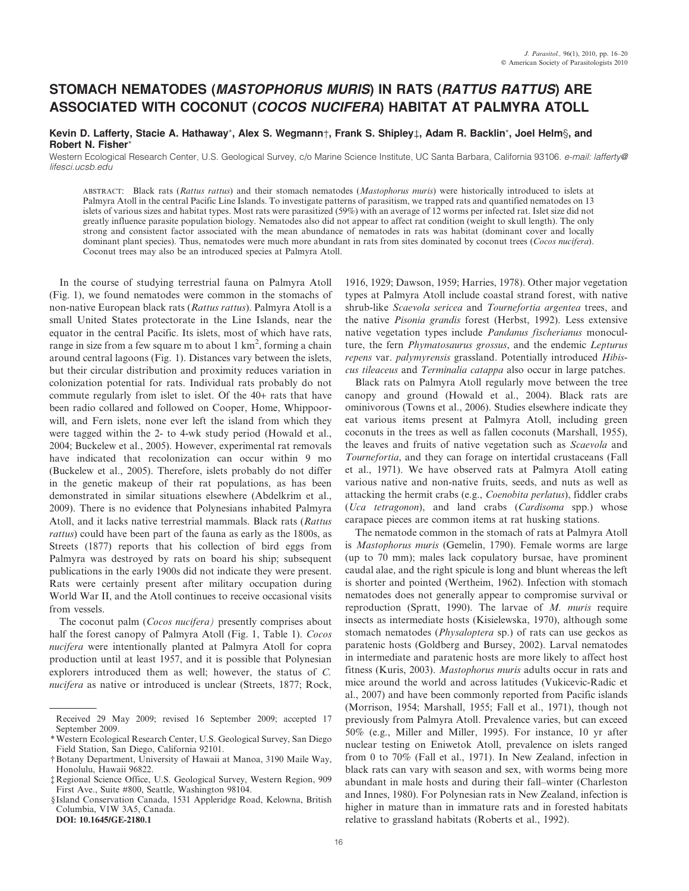## STOMACH NEMATODES (MASTOPHORUS MURIS) IN RATS (RATTUS RATTUS) ARE ASSOCIATED WITH COCONUT (COCOS NUCIFERA) HABITAT AT PALMYRA ATOLL

## Kevin D. Lafferty, Stacie A. Hathaway\*, Alex S. Wegmann†, Frank S. Shipley $\ddagger$ , Adam R. Backlin\*, Joel Helm§, and Robert N. Fisher\*

Western Ecological Research Center, U.S. Geological Survey, c/o Marine Science Institute, UC Santa Barbara, California 93106. e-mail: lafferty@ lifesci.ucsb.edu

ABSTRACT: Black rats (Rattus rattus) and their stomach nematodes (Mastophorus muris) were historically introduced to islets at Palmyra Atoll in the central Pacific Line Islands. To investigate patterns of parasitism, we trapped rats and quantified nematodes on 13 islets of various sizes and habitat types. Most rats were parasitized (59%) with an average of 12 worms per infected rat. Islet size did not greatly influence parasite population biology. Nematodes also did not appear to affect rat condition (weight to skull length). The only strong and consistent factor associated with the mean abundance of nematodes in rats was habitat (dominant cover and locally dominant plant species). Thus, nematodes were much more abundant in rats from sites dominated by coconut trees (Cocos nucifera). Coconut trees may also be an introduced species at Palmyra Atoll.

In the course of studying terrestrial fauna on Palmyra Atoll (Fig. 1), we found nematodes were common in the stomachs of non-native European black rats (Rattus rattus). Palmyra Atoll is a small United States protectorate in the Line Islands, near the equator in the central Pacific. Its islets, most of which have rats, range in size from a few square m to about  $1 \text{ km}^2$ , forming a chain around central lagoons (Fig. 1). Distances vary between the islets, but their circular distribution and proximity reduces variation in colonization potential for rats. Individual rats probably do not commute regularly from islet to islet. Of the 40+ rats that have been radio collared and followed on Cooper, Home, Whippoorwill, and Fern islets, none ever left the island from which they were tagged within the 2- to 4-wk study period (Howald et al., 2004; Buckelew et al., 2005). However, experimental rat removals have indicated that recolonization can occur within 9 mo (Buckelew et al., 2005). Therefore, islets probably do not differ in the genetic makeup of their rat populations, as has been demonstrated in similar situations elsewhere (Abdelkrim et al., 2009). There is no evidence that Polynesians inhabited Palmyra Atoll, and it lacks native terrestrial mammals. Black rats (Rattus rattus) could have been part of the fauna as early as the 1800s, as Streets (1877) reports that his collection of bird eggs from Palmyra was destroyed by rats on board his ship; subsequent publications in the early 1900s did not indicate they were present. Rats were certainly present after military occupation during World War II, and the Atoll continues to receive occasional visits from vessels.

The coconut palm (Cocos nucifera) presently comprises about half the forest canopy of Palmyra Atoll (Fig. 1, Table 1). Cocos nucifera were intentionally planted at Palmyra Atoll for copra production until at least 1957, and it is possible that Polynesian explorers introduced them as well; however, the status of C. nucifera as native or introduced is unclear (Streets, 1877; Rock,

DOI: 10.1645/GE-2180.1

1916, 1929; Dawson, 1959; Harries, 1978). Other major vegetation types at Palmyra Atoll include coastal strand forest, with native shrub-like Scaevola sericea and Tournefortia argentea trees, and the native Pisonia grandis forest (Herbst, 1992). Less extensive native vegetation types include Pandanus fischerianus monoculture, the fern *Phymatosaurus grossus*, and the endemic Lepturus repens var. palymyrensis grassland. Potentially introduced Hibiscus tileaceus and Terminalia catappa also occur in large patches.

Black rats on Palmyra Atoll regularly move between the tree canopy and ground (Howald et al., 2004). Black rats are ominivorous (Towns et al., 2006). Studies elsewhere indicate they eat various items present at Palmyra Atoll, including green coconuts in the trees as well as fallen coconuts (Marshall, 1955), the leaves and fruits of native vegetation such as Scaevola and Tournefortia, and they can forage on intertidal crustaceans (Fall et al., 1971). We have observed rats at Palmyra Atoll eating various native and non-native fruits, seeds, and nuts as well as attacking the hermit crabs (e.g., Coenobita perlatus), fiddler crabs (Uca tetragonon), and land crabs (Cardisoma spp.) whose carapace pieces are common items at rat husking stations.

The nematode common in the stomach of rats at Palmyra Atoll is Mastophorus muris (Gemelin, 1790). Female worms are large (up to 70 mm); males lack copulatory bursae, have prominent caudal alae, and the right spicule is long and blunt whereas the left is shorter and pointed (Wertheim, 1962). Infection with stomach nematodes does not generally appear to compromise survival or reproduction (Spratt, 1990). The larvae of M. muris require insects as intermediate hosts (Kisielewska, 1970), although some stomach nematodes (Physaloptera sp.) of rats can use geckos as paratenic hosts (Goldberg and Bursey, 2002). Larval nematodes in intermediate and paratenic hosts are more likely to affect host fitness (Kuris, 2003). Mastophorus muris adults occur in rats and mice around the world and across latitudes (Vukicevic-Radic et al., 2007) and have been commonly reported from Pacific islands (Morrison, 1954; Marshall, 1955; Fall et al., 1971), though not previously from Palmyra Atoll. Prevalence varies, but can exceed 50% (e.g., Miller and Miller, 1995). For instance, 10 yr after nuclear testing on Eniwetok Atoll, prevalence on islets ranged from 0 to 70% (Fall et al., 1971). In New Zealand, infection in black rats can vary with season and sex, with worms being more abundant in male hosts and during their fall–winter (Charleston and Innes, 1980). For Polynesian rats in New Zealand, infection is higher in mature than in immature rats and in forested habitats relative to grassland habitats (Roberts et al., 1992).

Received 29 May 2009; revised 16 September 2009; accepted 17 September 2009.

<sup>\*</sup> Western Ecological Research Center, U.S. Geological Survey, San Diego Field Station, San Diego, California 92101.

<sup>{</sup>Botany Department, University of Hawaii at Manoa, 3190 Maile Way, Honolulu, Hawaii 96822.

<sup>{</sup>Regional Science Office, U.S. Geological Survey, Western Region, 909 First Ave., Suite #800, Seattle, Washington 98104.

<sup>§</sup>Island Conservation Canada, 1531 Appleridge Road, Kelowna, British Columbia, V1W 3A5, Canada.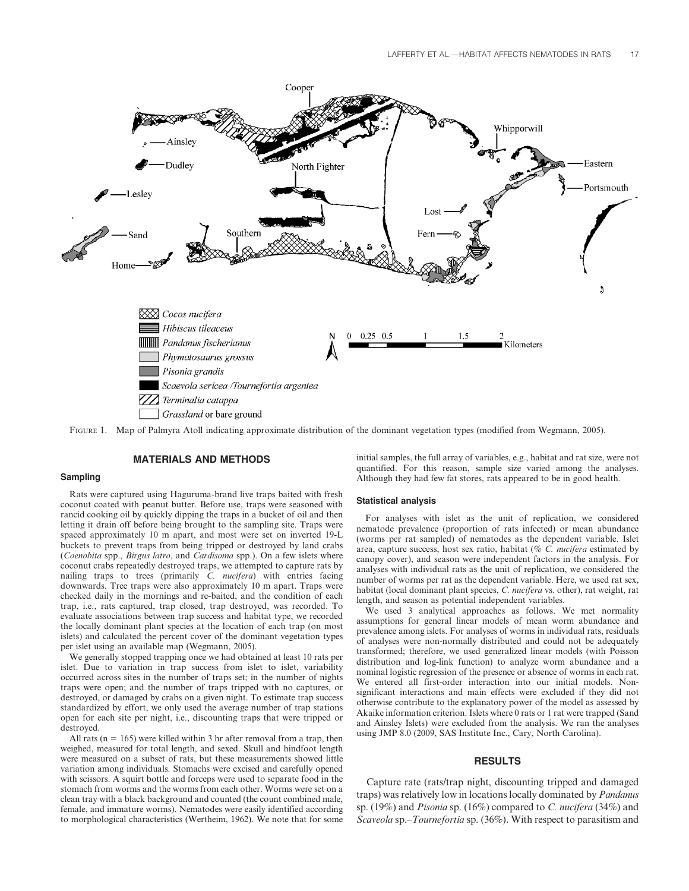

FIGURE 1. Map of Palmyra Atoll indicating approximate distribution of the dominant vegetation types (modified from Wegmann, 2005).

#### MATERIALS AND METHODS

#### Sampling

Rats were captured using Haguruma-brand live traps baited with fresh coconut coated with peanut butter. Before use, traps were seasoned with rancid cooking oil by quickly dipping the traps in a bucket of oil and then letting it drain off before being brought to the sampling site. Traps were spaced approximately 10 m apart, and most were set on inverted 19-L buckets to prevent traps from being tripped or destroyed by land crabs (Coenobita spp., Birgus latro, and Cardisoma spp.). On a few islets where coconut crabs repeatedly destroyed traps, we attempted to capture rats by nailing traps to trees (primarily C. nucifera) with entries facing downwards. Tree traps were also approximately 10 m apart. Traps were checked daily in the mornings and re-baited, and the condition of each trap, i.e., rats captured, trap closed, trap destroyed, was recorded. To evaluate associations between trap success and habitat type, we recorded the locally dominant plant species at the location of each trap (on most islets) and calculated the percent cover of the dominant vegetation types per islet using an available map (Wegmann, 2005).

We generally stopped trapping once we had obtained at least 10 rats per islet. Due to variation in trap success from islet to islet, variability occurred across sites in the number of traps set; in the number of nights traps were open; and the number of traps tripped with no captures, or destroyed, or damaged by crabs on a given night. To estimate trap success standardized by effort, we only used the average number of trap stations open for each site per night, i.e., discounting traps that were tripped or destroyed.

All rats ( $n = 165$ ) were killed within 3 hr after removal from a trap, then weighed, measured for total length, and sexed. Skull and hindfoot length were measured on a subset of rats, but these measurements showed little variation among individuals. Stomachs were excised and carefully opened with scissors. A squirt bottle and forceps were used to separate food in the stomach from worms and the worms from each other. Worms were set on a clean tray with a black background and counted (the count combined male, female, and immature worms). Nematodes were easily identified according to morphological characteristics (Wertheim, 1962). We note that for some initial samples, the full array of variables, e.g., habitat and rat size, were not quantified. For this reason, sample size varied among the analyses. Although they had few fat stores, rats appeared to be in good health.

#### Statistical analysis

For analyses with islet as the unit of replication, we considered nematode prevalence (proportion of rats infected) or mean abundance (worms per rat sampled) of nematodes as the dependent variable. Islet area, capture success, host sex ratio, habitat (% C. nucifera estimated by canopy cover), and season were independent factors in the analysis. For analyses with individual rats as the unit of replication, we considered the number of worms per rat as the dependent variable. Here, we used rat sex, habitat (local dominant plant species, C. nucifera vs. other), rat weight, rat length, and season as potential independent variables.

We used 3 analytical approaches as follows. We met normality assumptions for general linear models of mean worm abundance and prevalence among islets. For analyses of worms in individual rats, residuals of analyses were non-normally distributed and could not be adequately transformed; therefore, we used generalized linear models (with Poisson distribution and log-link function) to analyze worm abundance and a nominal logistic regression of the presence or absence of worms in each rat. We entered all first-order interaction into our initial models. Nonsignificant interactions and main effects were excluded if they did not otherwise contribute to the explanatory power of the model as assessed by Akaike information criterion. Islets where 0 rats or 1 rat were trapped (Sand and Ainsley Islets) were excluded from the analysis. We ran the analyses using JMP 8.0 (2009, SAS Institute Inc., Cary, North Carolina).

## **RESULTS**

Capture rate (rats/trap night, discounting tripped and damaged traps) was relatively low in locations locally dominated by Pandanus sp. (19%) and Pisonia sp. (16%) compared to C. nucifera (34%) and Scaveola sp.–Tournefortia sp. (36%). With respect to parasitism and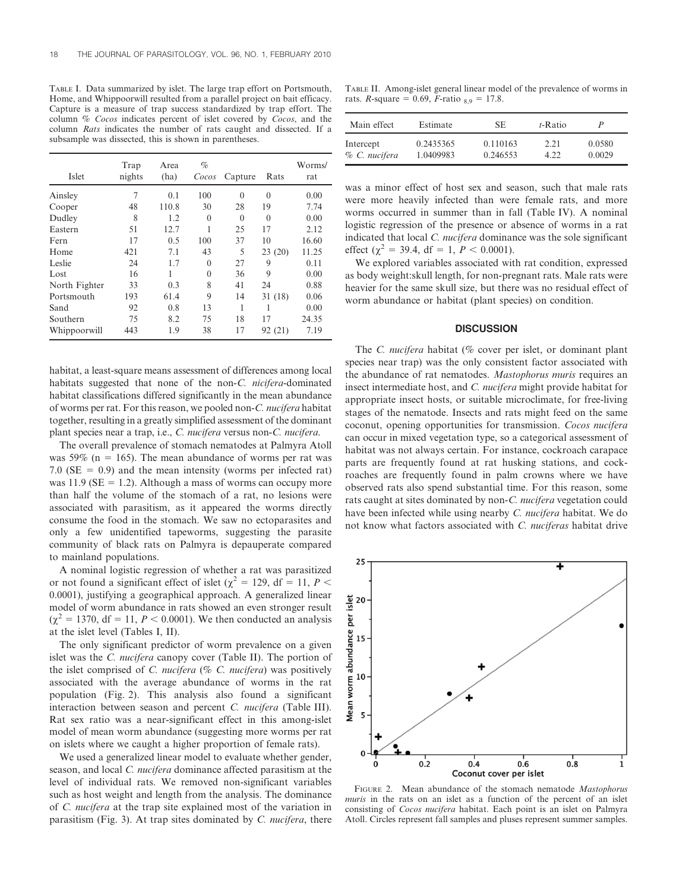TABLE I. Data summarized by islet. The large trap effort on Portsmouth, Home, and Whippoorwill resulted from a parallel project on bait efficacy. Capture is a measure of trap success standardized by trap effort. The column % Cocos indicates percent of islet covered by Cocos, and the column Rats indicates the number of rats caught and dissected. If a subsample was dissected, this is shown in parentheses.

| Islet         | Trap<br>nights | Area<br>(ha) | $\%$<br>Cocos | Capture  | Rats     | Worms/<br>rat |
|---------------|----------------|--------------|---------------|----------|----------|---------------|
| Ainsley       | 7              | 0.1          | 100           | $\Omega$ | $\Omega$ | 0.00          |
|               |                |              |               |          |          |               |
| Cooper        | 48             | 110.8        | 30            | 28       | 19       | 7.74          |
| Dudley        | 8              | 1.2          | $\theta$      | $\Omega$ | $\Omega$ | 0.00          |
| Eastern       | 51             | 12.7         | 1             | 25       | 17       | 2.12          |
| Fern          | 17             | 0.5          | 100           | 37       | 10       | 16.60         |
| Home          | 421            | 7.1          | 43            | 5        | 23(20)   | 11.25         |
| Leslie        | 24             | 1.7          | $\theta$      | 27       | 9        | 0.11          |
| Lost          | 16             | 1            | $\theta$      | 36       | 9        | 0.00          |
| North Fighter | 33             | 0.3          | 8             | 41       | 24       | 0.88          |
| Portsmouth    | 193            | 61.4         | 9             | 14       | 31(18)   | 0.06          |
| Sand          | 92             | 0.8          | 13            | 1        |          | 0.00          |
| Southern      | 75             | 8.2          | 75            | 18       | 17       | 24.35         |
| Whippoorwill  | 443            | 1.9          | 38            | 17       | 92 (21)  | 7.19          |

habitat, a least-square means assessment of differences among local habitats suggested that none of the non-C. nicifera-dominated habitat classifications differed significantly in the mean abundance of worms per rat. For this reason, we pooled non-C. nucifera habitat together, resulting in a greatly simplified assessment of the dominant plant species near a trap, i.e., C. nucifera versus non-C. nucifera.

The overall prevalence of stomach nematodes at Palmyra Atoll was 59% ( $n = 165$ ). The mean abundance of worms per rat was 7.0 ( $SE = 0.9$ ) and the mean intensity (worms per infected rat) was 11.9 ( $SE = 1.2$ ). Although a mass of worms can occupy more than half the volume of the stomach of a rat, no lesions were associated with parasitism, as it appeared the worms directly consume the food in the stomach. We saw no ectoparasites and only a few unidentified tapeworms, suggesting the parasite community of black rats on Palmyra is depauperate compared to mainland populations.

A nominal logistic regression of whether a rat was parasitized or not found a significant effect of islet ( $\chi^2 = 129$ , df = 11, P < 0.0001), justifying a geographical approach. A generalized linear model of worm abundance in rats showed an even stronger result  $(\chi^2 = 1370, df = 11, P < 0.0001)$ . We then conducted an analysis at the islet level (Tables I, II).

The only significant predictor of worm prevalence on a given islet was the C. nucifera canopy cover (Table II). The portion of the islet comprised of C. nucifera  $(\% C.$  nucifera) was positively associated with the average abundance of worms in the rat population (Fig. 2). This analysis also found a significant interaction between season and percent C. nucifera (Table III). Rat sex ratio was a near-significant effect in this among-islet model of mean worm abundance (suggesting more worms per rat on islets where we caught a higher proportion of female rats).

We used a generalized linear model to evaluate whether gender, season, and local C. nucifera dominance affected parasitism at the level of individual rats. We removed non-significant variables such as host weight and length from the analysis. The dominance of C. nucifera at the trap site explained most of the variation in parasitism (Fig. 3). At trap sites dominated by C. nucifera, there

TABLE II. Among-islet general linear model of the prevalence of worms in rats. *R*-square = 0.69, *F*-ratio  $_{8.9}$  = 17.8.

| Main effect   | Estimate  | SE.      | $t$ -Ratio | P      |
|---------------|-----------|----------|------------|--------|
| Intercept     | 0.2435365 | 0.110163 | 2.21       | 0.0580 |
| % C. nucifera | 1.0409983 | 0.246553 | 4 22       | 0.0029 |

was a minor effect of host sex and season, such that male rats were more heavily infected than were female rats, and more worms occurred in summer than in fall (Table IV). A nominal logistic regression of the presence or absence of worms in a rat indicated that local C. nucifera dominance was the sole significant effect ( $\chi^2$  = 39.4, df = 1, P < 0.0001).

We explored variables associated with rat condition, expressed as body weight:skull length, for non-pregnant rats. Male rats were heavier for the same skull size, but there was no residual effect of worm abundance or habitat (plant species) on condition.

### **DISCUSSION**

The *C. nucifera* habitat (% cover per islet, or dominant plant species near trap) was the only consistent factor associated with the abundance of rat nematodes. Mastophorus muris requires an insect intermediate host, and C. nucifera might provide habitat for appropriate insect hosts, or suitable microclimate, for free-living stages of the nematode. Insects and rats might feed on the same coconut, opening opportunities for transmission. Cocos nucifera can occur in mixed vegetation type, so a categorical assessment of habitat was not always certain. For instance, cockroach carapace parts are frequently found at rat husking stations, and cockroaches are frequently found in palm crowns where we have observed rats also spend substantial time. For this reason, some rats caught at sites dominated by non-C. nucifera vegetation could have been infected while using nearby C. nucifera habitat. We do not know what factors associated with C. nuciferas habitat drive



FIGURE 2. Mean abundance of the stomach nematode Mastophorus muris in the rats on an islet as a function of the percent of an islet consisting of Cocos nucifera habitat. Each point is an islet on Palmyra Atoll. Circles represent fall samples and pluses represent summer samples.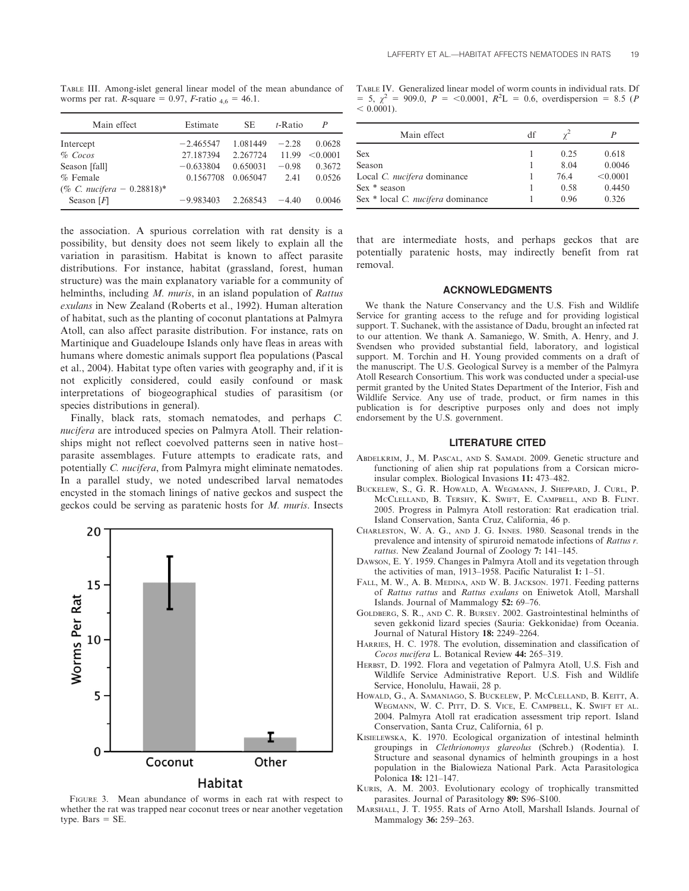TABLE III. Among-islet general linear model of the mean abundance of worms per rat. *R*-square = 0.97, *F*-ratio  $_{4,6} = 46.1$ .

| Main effect                | Estimate    | SE.      | $t$ -Ratio | P        |
|----------------------------|-------------|----------|------------|----------|
| Intercept                  | $-2.465547$ | 1.081449 | $-2.28$    | 0.0628   |
| $\%$ Cocos                 | 27.187394   | 2.267724 | 11.99      | < 0.0001 |
| Season [fall]              | $-0.633804$ | 0.650031 | $-0.98$    | 0.3672   |
| $%$ Female                 | 0.1567708   | 0.065047 | 2.41       | 0.0526   |
| (% C. nucifera - 0.28818)* |             |          |            |          |
| Season $[F]$               | $-9.983403$ | 2.268543 | $-440$     | 0.0046   |

TABLE IV. Generalized linear model of worm counts in individual rats. Df  $= 5$ ,  $\chi^2 = 909.0$ ,  $P = <0.0001$ ,  $R^2$ L = 0.6, overdispersion = 8.5 (P)  $< 0.0001$ ).

| Main effect                              | df |      |          |
|------------------------------------------|----|------|----------|
| <b>Sex</b>                               |    | 0.25 | 0.618    |
| Season                                   |    | 8.04 | 0.0046   |
| Local C. nucifera dominance              |    | 764  | < 0.0001 |
| $Sex * season$                           |    | 0.58 | 0.4450   |
| Sex * local <i>C. nucifera</i> dominance |    | 0.96 | 0.326    |

the association. A spurious correlation with rat density is a possibility, but density does not seem likely to explain all the variation in parasitism. Habitat is known to affect parasite distributions. For instance, habitat (grassland, forest, human structure) was the main explanatory variable for a community of helminths, including *M. muris*, in an island population of *Rattus* exulans in New Zealand (Roberts et al., 1992). Human alteration of habitat, such as the planting of coconut plantations at Palmyra Atoll, can also affect parasite distribution. For instance, rats on Martinique and Guadeloupe Islands only have fleas in areas with humans where domestic animals support flea populations (Pascal et al., 2004). Habitat type often varies with geography and, if it is not explicitly considered, could easily confound or mask interpretations of biogeographical studies of parasitism (or species distributions in general).

Finally, black rats, stomach nematodes, and perhaps C. nucifera are introduced species on Palmyra Atoll. Their relationships might not reflect coevolved patterns seen in native host– parasite assemblages. Future attempts to eradicate rats, and potentially C. nucifera, from Palmyra might eliminate nematodes. In a parallel study, we noted undescribed larval nematodes encysted in the stomach linings of native geckos and suspect the geckos could be serving as paratenic hosts for M. muris. Insects



FIGURE 3. Mean abundance of worms in each rat with respect to whether the rat was trapped near coconut trees or near another vegetation type. Bars  $=$  SE.

that are intermediate hosts, and perhaps geckos that are potentially paratenic hosts, may indirectly benefit from rat removal.

#### ACKNOWLEDGMENTS

We thank the Nature Conservancy and the U.S. Fish and Wildlife Service for granting access to the refuge and for providing logistical support. T. Suchanek, with the assistance of Dadu, brought an infected rat to our attention. We thank A. Samaniego, W. Smith, A. Henry, and J. Svendsen who provided substantial field, laboratory, and logistical support. M. Torchin and H. Young provided comments on a draft of the manuscript. The U.S. Geological Survey is a member of the Palmyra Atoll Research Consortium. This work was conducted under a special-use permit granted by the United States Department of the Interior, Fish and Wildlife Service. Any use of trade, product, or firm names in this publication is for descriptive purposes only and does not imply endorsement by the U.S. government.

#### LITERATURE CITED

- ABDELKRIM, J., M. PASCAL, AND S. SAMADI. 2009. Genetic structure and functioning of alien ship rat populations from a Corsican microinsular complex. Biological Invasions 11: 473–482.
- BUCKELEW, S., G. R. HOWALD, A. WEGMANN, J. SHEPPARD, J. CURL, P. MCCLELLAND, B. TERSHY, K. SWIFT, E. CAMPBELL, AND B. FLINT. 2005. Progress in Palmyra Atoll restoration: Rat eradication trial. Island Conservation, Santa Cruz, California, 46 p.
- CHARLESTON, W. A. G., AND J. G. INNES. 1980. Seasonal trends in the prevalence and intensity of spiruroid nematode infections of Rattus r. rattus. New Zealand Journal of Zoology 7: 141-145.
- DAWSON, E. Y. 1959. Changes in Palmyra Atoll and its vegetation through the activities of man, 1913–1958. Pacific Naturalist 1: 1–51.
- FALL, M. W., A. B. MEDINA, AND W. B. JACKSON. 1971. Feeding patterns of Rattus rattus and Rattus exulans on Eniwetok Atoll, Marshall Islands. Journal of Mammalogy 52: 69–76.
- GOLDBERG, S. R., AND C. R. BURSEY. 2002. Gastrointestinal helminths of seven gekkonid lizard species (Sauria: Gekkonidae) from Oceania. Journal of Natural History 18: 2249–2264.
- HARRIES, H. C. 1978. The evolution, dissemination and classification of Cocos nucifera L. Botanical Review 44: 265–319.
- HERBST, D. 1992. Flora and vegetation of Palmyra Atoll, U.S. Fish and Wildlife Service Administrative Report. U.S. Fish and Wildlife Service, Honolulu, Hawaii, 28 p.
- HOWALD, G., A. SAMANIAGO, S. BUCKELEW, P. MCCLELLAND, B. KEITT, A. WEGMANN, W. C. PITT, D. S. VICE, E. CAMPBELL, K. SWIFT ET AL. 2004. Palmyra Atoll rat eradication assessment trip report. Island Conservation, Santa Cruz, California, 61 p.
- KISIELEWSKA, K. 1970. Ecological organization of intestinal helminth groupings in Clethrionomys glareolus (Schreb.) (Rodentia). I. Structure and seasonal dynamics of helminth groupings in a host population in the Bialowieza National Park. Acta Parasitologica Polonica 18: 121–147.
- KURIS, A. M. 2003. Evolutionary ecology of trophically transmitted parasites. Journal of Parasitology 89: S96–S100.
- MARSHALL, J. T. 1955. Rats of Arno Atoll, Marshall Islands. Journal of Mammalogy 36: 259–263.